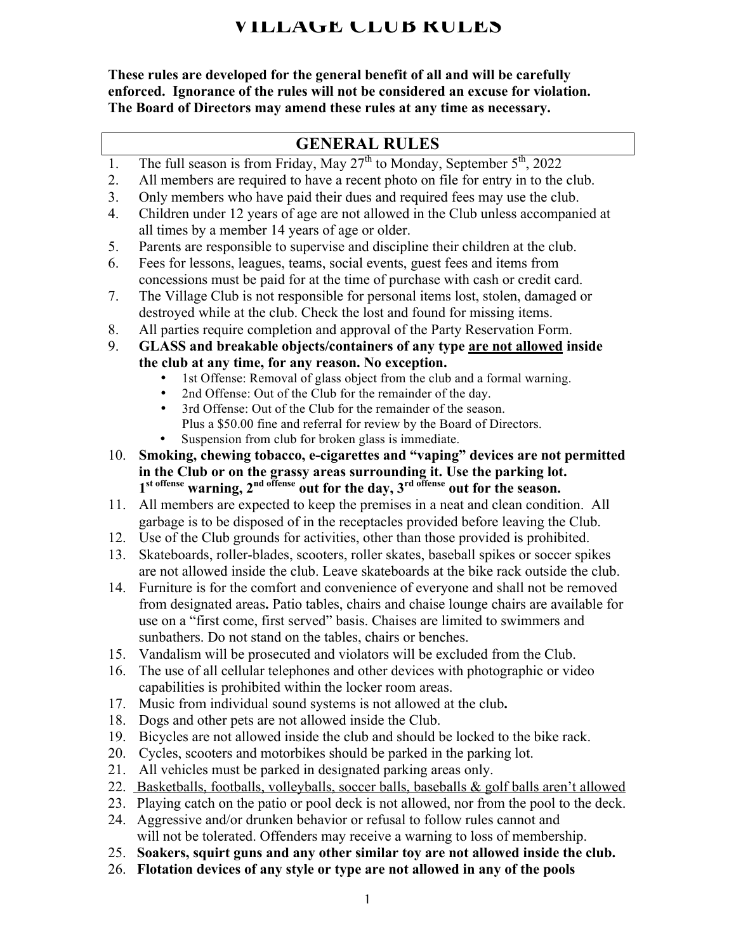# **VILLAGE CLUB RULES**

**These rules are developed for the general benefit of all and will be carefully enforced. Ignorance of the rules will not be considered an excuse for violation. The Board of Directors may amend these rules at any time as necessary.**

## **GENERAL RULES**

- 1. The full season is from Friday, May  $27<sup>th</sup>$  to Monday, September  $5<sup>th</sup>$ , 2022
- 2. All members are required to have a recent photo on file for entry in to the club.
- 3. Only members who have paid their dues and required fees may use the club.
- 4. Children under 12 years of age are not allowed in the Club unless accompanied at all times by a member 14 years of age or older.
- 5. Parents are responsible to supervise and discipline their children at the club.
- 6. Fees for lessons, leagues, teams, social events, guest fees and items from concessions must be paid for at the time of purchase with cash or credit card.
- 7. The Village Club is not responsible for personal items lost, stolen, damaged or destroyed while at the club. Check the lost and found for missing items.
- 8. All parties require completion and approval of the Party Reservation Form.
- 9. **GLASS and breakable objects/containers of any type are not allowed inside the club at any time, for any reason. No exception.**
	- 1st Offense: Removal of glass object from the club and a formal warning.
	- 2nd Offense: Out of the Club for the remainder of the day.<br>• 3rd Offense: Out of the Club for the remainder of the seaso
	- 3rd Offense: Out of the Club for the remainder of the season. Plus a \$50.00 fine and referral for review by the Board of Directors.
	- Suspension from club for broken glass is immediate.
- 10. **Smoking, chewing tobacco, e-cigarettes and "vaping" devices are not permitted in the Club or on the grassy areas surrounding it. Use the parking lot.**  1<sup>st offense</sup> warning, 2<sup>nd offense</sup> out for the day, 3<sup>rd offense</sup> out for the season.
- 11. All members are expected to keep the premises in a neat and clean condition. All garbage is to be disposed of in the receptacles provided before leaving the Club.
- 12. Use of the Club grounds for activities, other than those provided is prohibited.
- 13. Skateboards, roller-blades, scooters, roller skates, baseball spikes or soccer spikes are not allowed inside the club. Leave skateboards at the bike rack outside the club.
- 14. Furniture is for the comfort and convenience of everyone and shall not be removed from designated areas**.** Patio tables, chairs and chaise lounge chairs are available for use on a "first come, first served" basis. Chaises are limited to swimmers and sunbathers. Do not stand on the tables, chairs or benches.
- 15. Vandalism will be prosecuted and violators will be excluded from the Club.
- 16. The use of all cellular telephones and other devices with photographic or video capabilities is prohibited within the locker room areas.
- 17. Music from individual sound systems is not allowed at the club**.**
- 18. Dogs and other pets are not allowed inside the Club.
- 19. Bicycles are not allowed inside the club and should be locked to the bike rack.
- 20. Cycles, scooters and motorbikes should be parked in the parking lot.
- 21. All vehicles must be parked in designated parking areas only.
- 22. Basketballs, footballs, volleyballs, soccer balls, baseballs & golf balls aren't allowed
- 23. Playing catch on the patio or pool deck is not allowed, nor from the pool to the deck.
- 24. Aggressive and/or drunken behavior or refusal to follow rules cannot and will not be tolerated. Offenders may receive a warning to loss of membership.
- 25. **Soakers, squirt guns and any other similar toy are not allowed inside the club.**
- 26. **Flotation devices of any style or type are not allowed in any of the pools**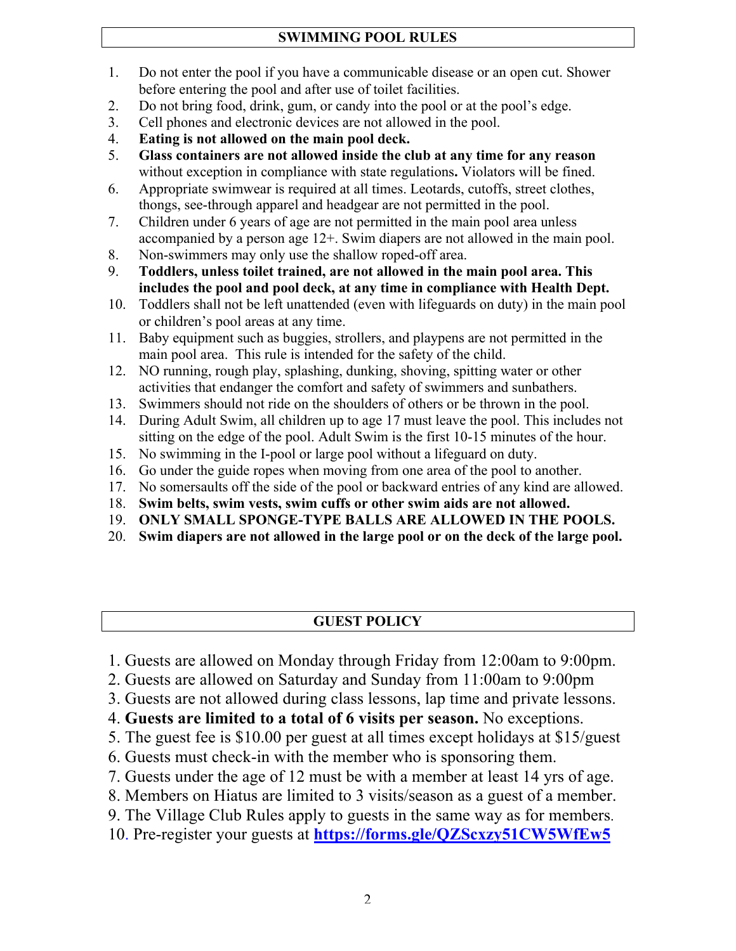#### **SWIMMING POOL RULES**

- 1. Do not enter the pool if you have a communicable disease or an open cut. Shower before entering the pool and after use of toilet facilities.
- 2. Do not bring food, drink, gum, or candy into the pool or at the pool's edge.
- 3. Cell phones and electronic devices are not allowed in the pool.
- 4. **Eating is not allowed on the main pool deck.**
- 5. **Glass containers are not allowed inside the club at any time for any reason** without exception in compliance with state regulations**.** Violators will be fined.
- 6. Appropriate swimwear is required at all times. Leotards, cutoffs, street clothes, thongs, see-through apparel and headgear are not permitted in the pool.
- 7. Children under 6 years of age are not permitted in the main pool area unless accompanied by a person age 12+. Swim diapers are not allowed in the main pool.
- 8. Non-swimmers may only use the shallow roped-off area.
- 9. **Toddlers, unless toilet trained, are not allowed in the main pool area. This includes the pool and pool deck, at any time in compliance with Health Dept.**
- 10. Toddlers shall not be left unattended (even with lifeguards on duty) in the main pool or children's pool areas at any time.
- 11. Baby equipment such as buggies, strollers, and playpens are not permitted in the main pool area. This rule is intended for the safety of the child.
- 12. NO running, rough play, splashing, dunking, shoving, spitting water or other activities that endanger the comfort and safety of swimmers and sunbathers.
- 13. Swimmers should not ride on the shoulders of others or be thrown in the pool.
- 14. During Adult Swim, all children up to age 17 must leave the pool. This includes not sitting on the edge of the pool. Adult Swim is the first 10-15 minutes of the hour.
- 15. No swimming in the I-pool or large pool without a lifeguard on duty.
- 16. Go under the guide ropes when moving from one area of the pool to another.
- 17. No somersaults off the side of the pool or backward entries of any kind are allowed.
- 18. **Swim belts, swim vests, swim cuffs or other swim aids are not allowed.**
- 19. **ONLY SMALL SPONGE-TYPE BALLS ARE ALLOWED IN THE POOLS.**
- 20. **Swim diapers are not allowed in the large pool or on the deck of the large pool.**

## **GUEST POLICY**

- 1. Guests are allowed on Monday through Friday from 12:00am to 9:00pm.
- 2. Guests are allowed on Saturday and Sunday from 11:00am to 9:00pm
- 3. Guests are not allowed during class lessons, lap time and private lessons.
- 4. **Guests are limited to a total of 6 visits per season.** No exceptions.
- 5. The guest fee is \$10.00 per guest at all times except holidays at \$15/guest
- 6. Guests must check-in with the member who is sponsoring them.
- 7. Guests under the age of 12 must be with a member at least 14 yrs of age.
- 8. Members on Hiatus are limited to 3 visits/season as a guest of a member.
- 9. The Village Club Rules apply to guests in the same way as for members.
- 10. Pre-register your guests at **https://forms.gle/QZScxzy51CW5WfEw5**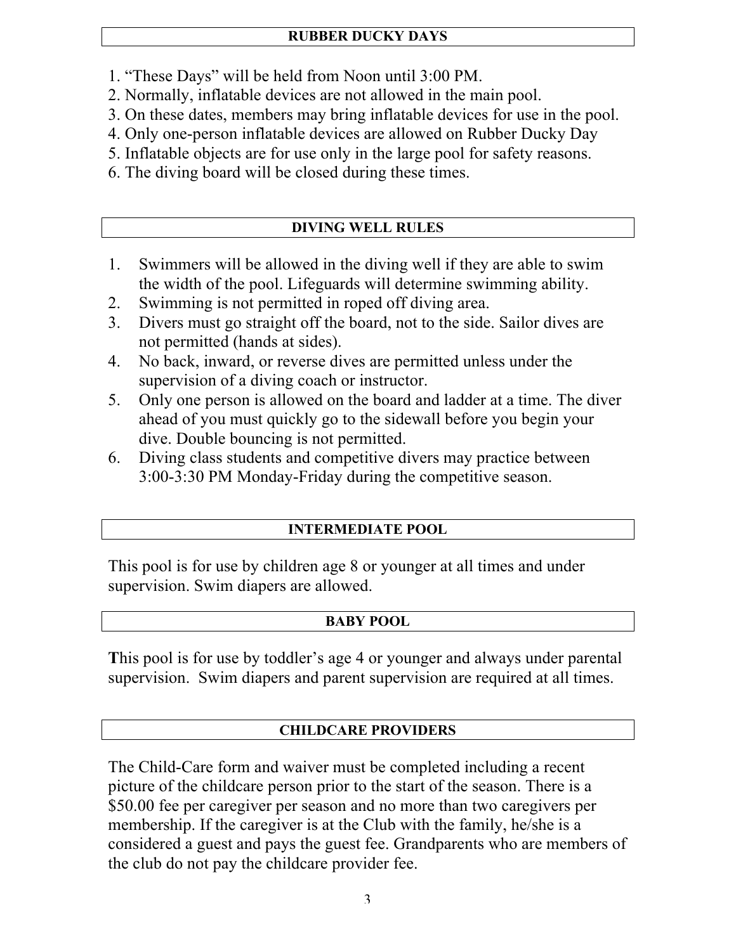- 1. "These Days" will be held from Noon until 3:00 PM.
- 2. Normally, inflatable devices are not allowed in the main pool.
- 3. On these dates, members may bring inflatable devices for use in the pool.
- 4. Only one-person inflatable devices are allowed on Rubber Ducky Day
- 5. Inflatable objects are for use only in the large pool for safety reasons.
- 6. The diving board will be closed during these times.

# **DIVING WELL RULES**

- 1. Swimmers will be allowed in the diving well if they are able to swim the width of the pool. Lifeguards will determine swimming ability.
- 2. Swimming is not permitted in roped off diving area.
- 3. Divers must go straight off the board, not to the side. Sailor dives are not permitted (hands at sides).
- 4. No back, inward, or reverse dives are permitted unless under the supervision of a diving coach or instructor.
- 5. Only one person is allowed on the board and ladder at a time. The diver ahead of you must quickly go to the sidewall before you begin your dive. Double bouncing is not permitted.
- 6. Diving class students and competitive divers may practice between 3:00-3:30 PM Monday-Friday during the competitive season.

## **INTERMEDIATE POOL**

This pool is for use by children age 8 or younger at all times and under supervision. Swim diapers are allowed.

## **BABY POOL**

**T**his pool is for use by toddler's age 4 or younger and always under parental supervision. Swim diapers and parent supervision are required at all times.

## **CHILDCARE PROVIDERS**

The Child-Care form and waiver must be completed including a recent picture of the childcare person prior to the start of the season. There is a \$50.00 fee per caregiver per season and no more than two caregivers per membership. If the caregiver is at the Club with the family, he/she is a considered a guest and pays the guest fee. Grandparents who are members of the club do not pay the childcare provider fee.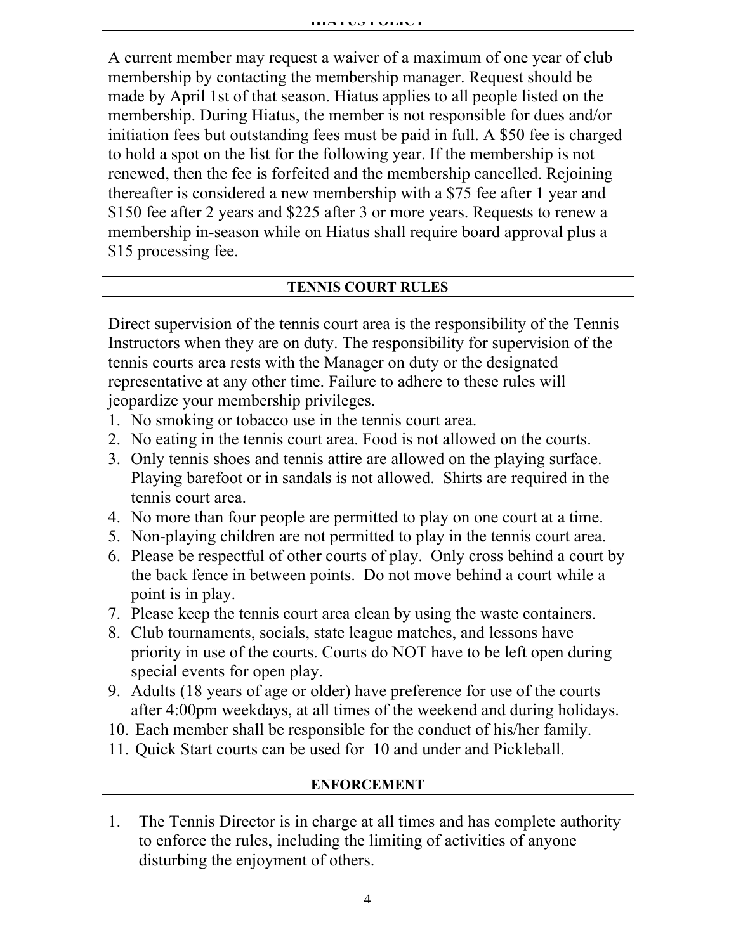A current member may request a waiver of a maximum of one year of club membership by contacting the membership manager. Request should be made by April 1st of that season. Hiatus applies to all people listed on the membership. During Hiatus, the member is not responsible for dues and/or initiation fees but outstanding fees must be paid in full. A \$50 fee is charged to hold a spot on the list for the following year. If the membership is not renewed, then the fee is forfeited and the membership cancelled. Rejoining thereafter is considered a new membership with a \$75 fee after 1 year and \$150 fee after 2 years and \$225 after 3 or more years. Requests to renew a membership in-season while on Hiatus shall require board approval plus a \$15 processing fee.

#### **TENNIS COURT RULES**

Direct supervision of the tennis court area is the responsibility of the Tennis Instructors when they are on duty. The responsibility for supervision of the tennis courts area rests with the Manager on duty or the designated representative at any other time. Failure to adhere to these rules will jeopardize your membership privileges.

- 1. No smoking or tobacco use in the tennis court area.
- 2. No eating in the tennis court area. Food is not allowed on the courts.
- 3. Only tennis shoes and tennis attire are allowed on the playing surface. Playing barefoot or in sandals is not allowed.Shirts are required in the tennis court area.
- 4. No more than four people are permitted to play on one court at a time.
- 5. Non-playing children are not permitted to play in the tennis court area.
- 6. Please be respectful of other courts of play. Only cross behind a court by the back fence in between points. Do not move behind a court while a point is in play.
- 7. Please keep the tennis court area clean by using the waste containers.
- 8. Club tournaments, socials, state league matches, and lessons have priority in use of the courts. Courts do NOT have to be left open during special events for open play.
- 9. Adults (18 years of age or older) have preference for use of the courts after 4:00pm weekdays, at all times of the weekend and during holidays.
- 10. Each member shall be responsible for the conduct of his/her family.
- 11. Quick Start courts can be used for 10 and under and Pickleball.

#### **ENFORCEMENT**

1. The Tennis Director is in charge at all times and has complete authority to enforce the rules, including the limiting of activities of anyone disturbing the enjoyment of others.